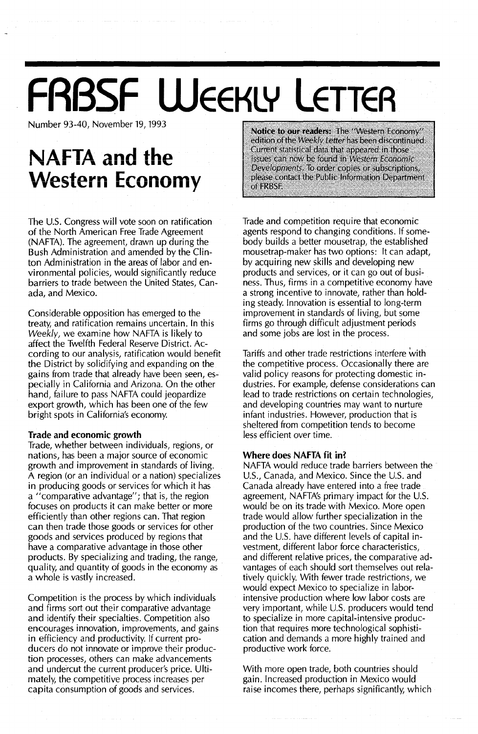## **FRBSF WEEKLY LETTER**

Number 93-40, November 19, 1993

### **NAFTA** and the **Western Economy**

The U.s. Congress will vote soon on ratification of the North American Free Trade Agreement (NAFTA). The agreement, drawn up during the Bush Administration and amended by the Clinton Administration in the areas of labor and environmental policies, would significantly reduce barriers to trade between the United States, Canada, and Mexico.

Considerable opposition has emerged to the treaty, and ratification remains uncertain. In this *Weekly,* we examine how NAFTA is likely to affect the Twelfth Federal Reserve District. According to our analysis, ratification would benefit the District by solidifying and expanding on the gains from trade that already have been seen, especially in California and Arizona. On the other hand, failure to pass NAFTA could jeopardize export growth, which has been one of the few bright spots in California's economy.

#### Trade and economic growth

Trade, whether between individuals, regions, or nations, has been a major source of economic growth and improvement in standards of living. A region (or an individual or a nation) specializes in producing goods or services for which it has a "comparative advantage"; that is, the region focuses on products it can make better or more efficiently than other regions can. That region can then trade those goods or services for other goods and services produced by regions that have a comparative advantage in those other products. By specializing and trading, the range, quality, and quantity of goods in the economy as a whole is vastly increased.

Competition is the process by which individuals and firms sort out their comparative advantage and identify their specialties. Competition also encourages innovation, improvements, and gains in efficiency and productivity. If current producers do not innovate or improve their production processes, others can make advancements and undercut the current producer's price. Ultimately, the competitive process increases per capita consumption of goods and services.

Notice to our readers: The "Western Economy" edition of the Weekly Letter has been discontinued. Current statistical data that appeared in those issues can now be found in Western Economic Developments. To order copies or subscriptions, please contact the Public Information Department of FRBSF.

Trade and competition require that economic agents respond to changing conditions. If somebody builds a better mousetrap, the established mousetrap-maker has two options: It can adapt, by acquiring new skills and developing new products and services, or it can go out of business. Thus, firms in a competitive economy have a strong incentive to innovate, rather than holding steady. Innovation is essential to long-term improvement in standards of living, but some firms go through difficult adjustment periods and some jobs are lost in the process.

Tariffs and other trade restrictions interfere with the competitive process. Occasionally there are valid policy reasons for protecting domestic industries. For example, defense considerations can lead to trade restrictions on certain technologies, and developing countries may want to nurture infant industries. However, production that is sheltered from competition tends to become less efficient over time.

#### Where does NAFTA fit in?

NAFTA would reduce trade barriers between the U.S., Canada, and Mexico. Since the U.S. and Canada already have entered into a free trade agreement, NAFTA's primary impact for the U.S. would be on its trade with Mexico. More open trade would allow further specialization in the production of the two countries. Since Mexico and the U.S. have different levels of capital investment, different labor force characteristics, and different relative prices, the comparative advantages of each should sort themselves out relatively quickly. With fewer trade restrictions, we would expect Mexico to specialize in laborintensive production where low labor costs are very important, while U.S. producers would tend to specialize in more capital-intensive production that requires more technological sophistication and demands a more highly trained and productive work force.

With more open trade, both countries should gain. Increased production in Mexico would raise incomes there, perhaps significantly, which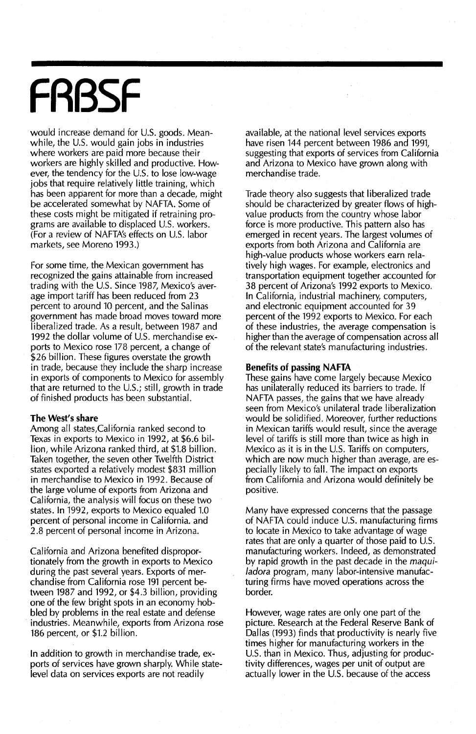# **FRBSF**

would increase demand for U.S. goods. Meanwhile, the U.S. would gain jobs in industries where workers are paid more because their workers are highly skilled and productive. However, the tendency for the U.S. to lose low-wage jobs that require relatively iittle training, which has been apparent for more than a decade, might be accelerated somewhat by NAFTA. Some of these costs might be mitigated if retraining programs are available to displaced U.S. workers. (For a review of NAFTA's effects on U.S. labor markets, see Moreno 1993.)

For some time, the Mexican government has recognized the gains attainable from increased trading with the U.S. Since 1987, Mexico's average import tariff has been reduced from 23 percent to around 10 percent, and the Salinas government has made broad moves toward more liberalized trade. As a result, between 1987 and 1992 the dollar volume of U.S. merchandise exports to Mexico rose 178 percent, a change of \$26 billion. These figures overstate the growth in trade, because they include the sharp increase in exports of components to Mexico for assembly that are returned to the U.S.; still, growth in trade of finished products has been substantial.

#### **The West's share**

Among all states,California ranked second to Texas in exports to Mexico in 1992, at \$6.6 billion, while Arizona ranked third, at \$1.8 billion. Taken together, the seven other Twelfth District states exported a relatively modest \$831 million in merchandise to Mexico in 1992. Because of the large volume of exports from Arizona and California, the analysis will focus on these two states. In 1992, exports to Mexico equaled 1.0 percent of personal income in California. and 2.8 percent of personal income in Arizona.

California and Arizona benefited disproportionately from the growth in exports to Mexico during the past several years. Exports of merchandise from California rose 191 percent between 1987 and 1992, or \$4.3 billion, providing one of the few bright spots in an economy hobbled by problems in the real estate and defense industries. Meanwhile, exports from Arizona rose 186 percent, or \$1.2 billion.

In addition to growth in merchandise trade, exports of services have grown sharply. While statelevel data on services exports are not readily

available, at the national level services exports have risen 144 percent between 1986 and 1991, suggesting that exports of services from California and Arizona to Mexico have grown along with merchandise trade.

Trade theory also suggests that liberalized trade should be characterized by greater flows of highvalue products from the country whose labor force is more productive. This pattern also has emerged in recent years. The largest volumes of exports from both Arizona and California are high-value products whose workers earn relatively high wages. For example, electronics and transportation equipment together accounted for 38 percent of Arizona's 1992 exports to Mexico. In California, industrial machinery, computers, and electronic equipment accounted for 39 percent of the 1992 exports to Mexico. For each of these industries, the average compensation is higher than the average of compensation across all of the relevant state's manufacturing industries.

#### **Benefits of passing NAFTA**

These gains have come largely because Mexico has unilaterally reduced its barriers to trade. If NAFTA passes, the gains that we have already seen from Mexico's unilateral trade liberalization would be solidified. Moreover, further reductions in Mexican tariffs would result, since the average level of tariffs is still more than twice as high in Mexico as it is in the U.S. Tariffs on computers, which are now much higher than average, are especially likely to fall. The impact on exports from California and Arizona would definitely be positive.

Many have expressed concerns that the passage of NAFTA could induce U.S. manufacturing firms to locate in Mexico to take advantage of wage rates that are only a quarter of those paid to U.S. manufacturing workers. Indeed, as demonstrated by rapid growth in the past decade in the *maquiladora* program, many labor-intensive manufacturing firms have moved operations across the border.

However, wage rates are only one part of the picture. Research at the Federal Reserve Bank of Dallas (1993) finds that productivity is nearly five times higher for manufacturing workers in the U.S. than in Mexico. Thus, adjusting for productivity differences, wages per unit of output are actually lower in the U.S. because of the access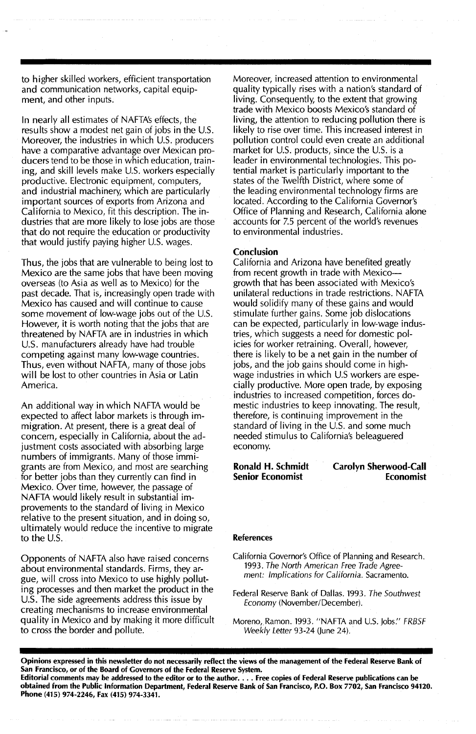to higher skilled workers, efficient transportation and communication networks, capital equipment, and other inputs.

In nearly all estimates of NAFTA's effects, the results show a modest net gain of jobs in the U.S. Moreover, the industries in which U.S. producers have a comparative advantage over Mexican producers tend to be those in which education, training, and skill levels make U.S. workers especially productive. Electronic equipment, computers, and industrial machinery, which are particularly important sources of exports from Arizona and California to Mexico, fit this description. The industries that are more likely to lose jobs are those that do not require the education or productivity that would justify paying higher U.S. wages.

Thus, the jobs that are vulnerable to being lost to Mexico are the same jobs that have been moving overseas (to Asia as well as to Mexico) for the past decade. That is, increasingly open trade with Mexico has caused and will continue to cause some movement of low-wage jobs out of the U.S. However, it is worth noting that the jobs that are threatened by NAFTA are in industries in which U.s. manufacturers already have had trouble competing against many low-wage countries. Thus, even without NAFTA, many of those jobs will be lost to other countries in Asia or Latin America.

An additional way in which NAFTA would be expected to affect labor markets is through immigration. At present, there is a great deal of concern, especially in California, about the adjustment costs associated with absorbing large numbers of immigrants. Many of those immigrants are from Mexico; and most are searching for better jobs than they currently can find in Mexico. Over time, however, the passage of NAFTA would likely result in substantial improvements to the standard of living in Mexico relative to the present situation, and in doing so, ultimately would reduce the incentive to migrate to the U.S.

Opponents of NAFTA also have raised concerns about environmental standards. Firms, they argue, will cross into Mexico to use highly polluting processes and then market the product in the u.s. The side agreements address this issue by creating mechanisms to increase environmental quality in Mexico and by making it more difficult to cross the border and pollute.

Moreover, increased attention to environmental quality typically rises with a nation's standard of living. Consequently, to the extent that growing trade with Mexico boosts Mexico's standard of living, the attention to reducing pollution there is likely to rise over time. This increased interest in pollution control could even create an additional market for U.S. products, since the U.S. is a leader in environmental technologies. This potential market is particularly important to the states of the Twelfth District, where some of the leading environmental technology firms are located. According to the California Governor's Office of Planning and Research, California alone accounts for 7.5 percent of the world's revenues to environmental industries.

#### Conclusion

California and Arizona have benefited greatly from recent growth in trade with Mexicogrowth that has been associated with Mexico's unilateral reductions in trade restrictions. NAFTA would solidify many of these gains and would stimulate further gains. Some job dislocations can be expected, particularly in low-wage industries, which suggests a need for domestic policies for worker retraining. Overall, however, there is likely to be a net gain in the number of jobs, and the job gains should come in highwage industries in which U.S workers are especially productive. More open trade, by exposing industries to increased competition, forces domestic industries to keep innovating. The result, therefore, is continuing improvement in the standard of living in the U.S. and some much needed stimulus to California's beleaguered economy.

Ronald H. Schmidt Senior Economist

Carolyn Sherwood-Call Economist

#### References

California Governor's Office of Planning and Research. 1993. The North American Free Trade Agreement: Implications for California. Sacramento.

Federal Reserve Bank of Dallas. 1993. The Southwest Economy (November/December).

Moreno, Ramon. 1993. "NAFTA and U.S. Jobs." FRBSF Weekly Letter 93-24 (June 24).

Opinions expressed in this newsletter do not necessarily reflect the views of the management of the Federal Reserve Bank of San Francisco, or of the Board of Governors of the Federal Reserve System. Editorial comments may be addressed to the editor or to the author. . . . Free copies of Federal Reserve publications can be obtained from the Public Information Department, Federal Reserve Bank of San Francisco, P.O. Box 7702, San Francisco 94120. Phone (415) 974-2246, Fax (415) 974-3341.